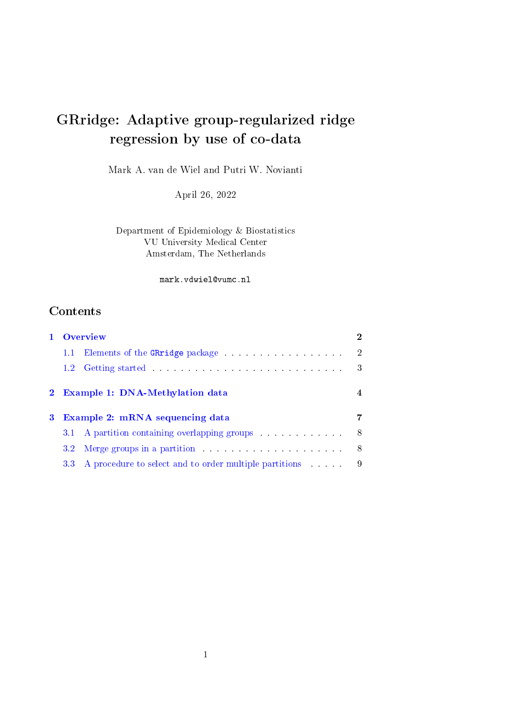# GRridge: Adaptive group-regularized ridge regression by use of co-data

Mark A. van de Wiel and Putri W. Novianti

April 26, 2022

Department of Epidemiology & Biostatistics VU University Medical Center Amsterdam, The Netherlands

mark.vdwiel@vumc.nl

# **Contents**

|              | Overview      |                                                                                                                                                                                                                                |    |
|--------------|---------------|--------------------------------------------------------------------------------------------------------------------------------------------------------------------------------------------------------------------------------|----|
|              | $1.1\,$       | Elements of the GRridge package in the contract of the GRridge package                                                                                                                                                         | 2  |
|              | $1.2^{\circ}$ |                                                                                                                                                                                                                                | 3  |
| $\mathbf{2}$ |               | <b>Example 1: DNA-Methylation data</b>                                                                                                                                                                                         |    |
|              |               |                                                                                                                                                                                                                                |    |
| 3            |               | <b>Example 2: mRNA sequencing data</b>                                                                                                                                                                                         |    |
|              |               | 3.1 A partition containing overlapping groups                                                                                                                                                                                  | 8  |
|              | $3.2^{\circ}$ | Merge groups in a partition and the set of the set of the set of the set of the set of the set of the set of the set of the set of the set of the set of the set of the set of the set of the set of the set of the set of the | -8 |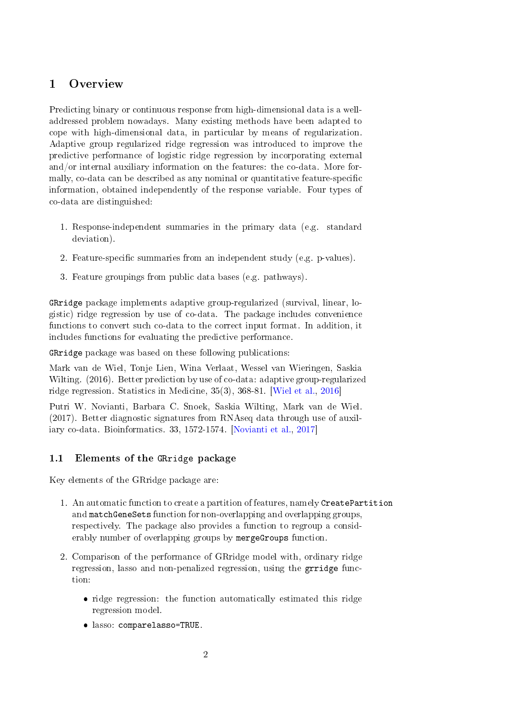# <span id="page-1-0"></span>1 Overview

Predicting binary or continuous response from high-dimensional data is a welladdressed problem nowadays. Many existing methods have been adapted to cope with high-dimensional data, in particular by means of regularization. Adaptive group regularized ridge regression was introduced to improve the predictive performance of logistic ridge regression by incorporating external and/or internal auxiliary information on the features: the co-data. More formally, co-data can be described as any nominal or quantitative feature-specific information, obtained independently of the response variable. Four types of co-data are distinguished:

- 1. Response-independent summaries in the primary data (e.g. standard deviation).
- 2. Feature-specific summaries from an independent study (e.g. p-values).
- 3. Feature groupings from public data bases (e.g. pathways).

GRridge package implements adaptive group-regularized (survival, linear, logistic) ridge regression by use of co-data. The package includes convenience functions to convert such co-data to the correct input format. In addition, it includes functions for evaluating the predictive performance.

GRridge package was based on these following publications:

Mark van de Wiel, Tonje Lien, Wina Verlaat, Wessel van Wieringen, Saskia Wilting. (2016). Better prediction by use of co-data: adaptive group-regularized ridge regression. Statistics in Medicine, 35(3), 368-81. [\[Wiel et al.,](#page-11-0) [2016\]](#page-11-0)

Putri W. Novianti, Barbara C. Snoek, Saskia Wilting, Mark van de Wiel. (2017). Better diagnostic signatures from RNAseq data through use of auxiliary co-data. Bioinformatics. 33, 1572-1574. [\[Novianti et al.,](#page-11-1) [2017\]](#page-11-1)

### <span id="page-1-1"></span>1.1 Elements of the GRridge package

Key elements of the GRridge package are:

- 1. An automatic function to create a partition of features, namely CreatePartition and matchGeneSets function for non-overlapping and overlapping groups, respectively. The package also provides a function to regroup a considerably number of overlapping groups by mergeGroups function.
- 2. Comparison of the performance of GRridge model with, ordinary ridge regression, lasso and non-penalized regression, using the grridge function:
	- ridge regression: the function automatically estimated this ridge regression model.
	- lasso: comparelasso=TRUE.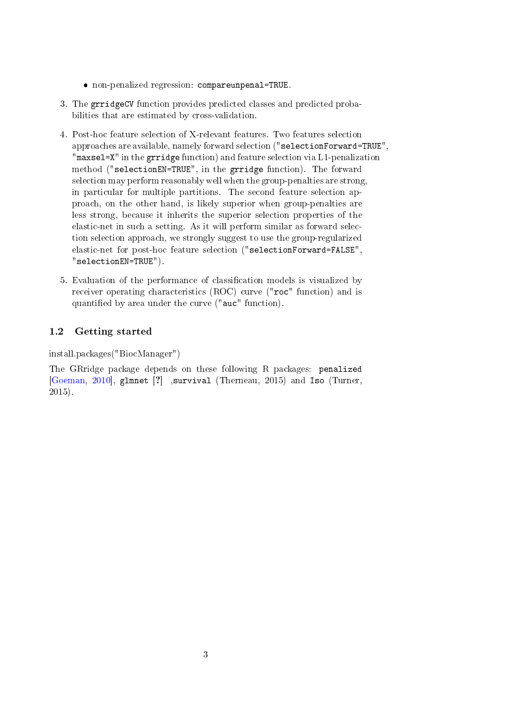- non-penalized regression: compareunpenal=TRUE.
- 3. The grridgeCV function provides predicted classes and predicted probabilities that are estimated by cross-validation.
- 4. Post-hoc feature selection of X-relevant features. Two features selection approaches are available, namely forward selection ("selectionForward=TRUE", "maxsel=X" in the grridge function) and feature selection via L1-penalization method ("selectionEN=TRUE", in the grridge function). The forward selection may perform reasonably well when the group-penalties are strong, in particular for multiple partitions. The second feature selection approach, on the other hand, is likely superior when group-penalties are less strong, because it inherits the superior selection properties of the elastic-net in such a setting. As it will perform similar as forward selection selection approach, we strongly suggest to use the group-regularized elastic-net for post-hoc feature selection ("selectionForward=FALSE", "selectionEN=TRUE").
- 5. Evaluation of the performance of classification models is visualized by receiver operating characteristics (ROC) curve ("roc" function) and is quantified by area under the curve ("auc" function).

### <span id="page-2-0"></span>1.2 Getting started

install.packages("BiocManager")

The GRridge package depends on these following R packages: penalized [\[Goeman,](#page-11-2) [2010\]](#page-11-2), glmnet [?] ,survival (Therneau, 2015) and Iso (Turner, 2015).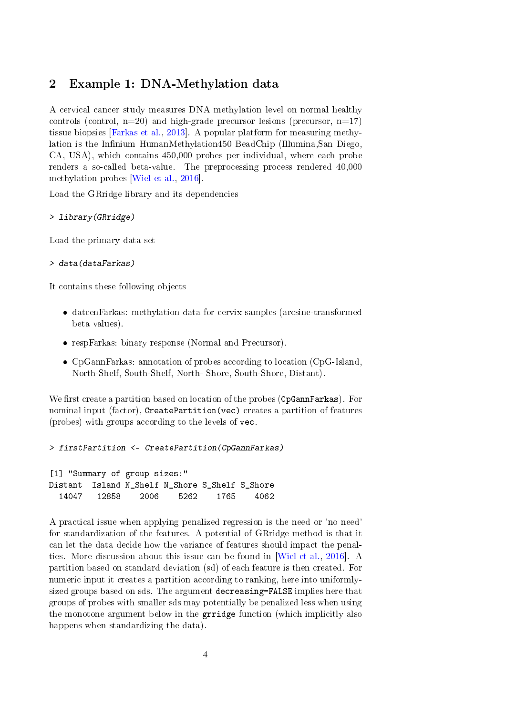## <span id="page-3-0"></span>2 Example 1: DNA-Methylation data

A cervical cancer study measures DNA methylation level on normal healthy controls (control,  $n=20$ ) and high-grade precursor lesions (precursor,  $n=17$ ) tissue biopsies [\[Farkas et al.,](#page-11-3) [2013\]](#page-11-3). A popular platform for measuring methylation is the Infinium HumanMethylation450 BeadChip (Illumina,San Diego, CA, USA), which contains 450,000 probes per individual, where each probe renders a so-called beta-value. The preprocessing process rendered 40,000 methylation probes [\[Wiel et al.,](#page-11-0) [2016\]](#page-11-0).

Load the GRridge library and its dependencies

#### > library(GRridge)

Load the primary data set

#### > data(dataFarkas)

It contains these following objects

- datcenFarkas: methylation data for cervix samples (arcsine-transformed beta values).
- respFarkas: binary response (Normal and Precursor).
- CpGannFarkas: annotation of probes according to location (CpG-Island, North-Shelf, South-Shelf, North- Shore, South-Shore, Distant).

We first create a partition based on location of the probes (CpGannFarkas). For nominal input (factor), CreatePartition(vec) creates a partition of features (probes) with groups according to the levels of vec.

```
> firstPartition <- CreatePartition(CpGannFarkas)
```

```
[1] "Summary of group sizes:"
Distant Island N_Shelf N_Shore S_Shelf S_Shore
  14047 12858 2006 5262 1765 4062
```
A practical issue when applying penalized regression is the need or 'no need' for standardization of the features. A potential of GRridge method is that it can let the data decide how the variance of features should impact the penalties. More discussion about this issue can be found in [\[Wiel et al.,](#page-11-0) [2016\]](#page-11-0). A partition based on standard deviation (sd) of each feature is then created. For numeric input it creates a partition according to ranking, here into uniformlysized groups based on sds. The argument decreasing=FALSE implies here that groups of probes with smaller sds may potentially be penalized less when using the monotone argument below in the grridge function (which implicitly also happens when standardizing the data).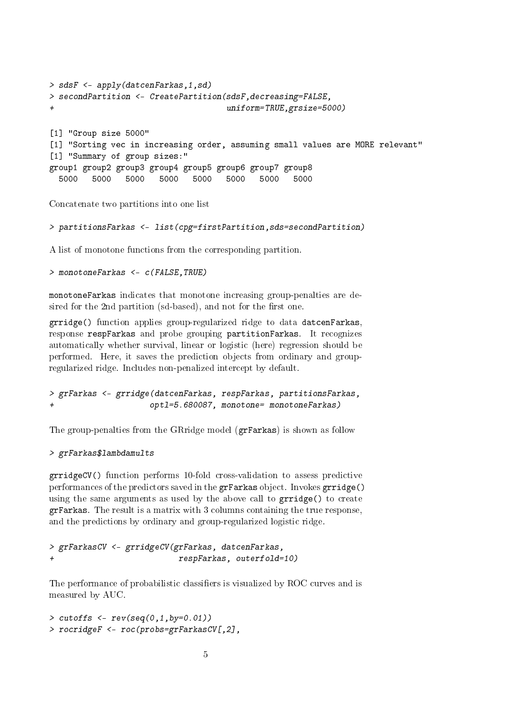```
> sdsF <- apply(datcenFarkas,1,sd)
> secondPartition <- CreatePartition(sdsF,decreasing=FALSE,
+ uniform=TRUE,grsize=5000)
[1] "Group size 5000"
[1] "Sorting vec in increasing order, assuming small values are MORE relevant"
[1] "Summary of group sizes:"
group1 group2 group3 group4 group5 group6 group7 group8
 5000 5000 5000 5000 5000 5000 5000 5000
```
Concatenate two partitions into one list

> partitionsFarkas <- list(cpg=firstPartition,sds=secondPartition)

A list of monotone functions from the corresponding partition.

> monotoneFarkas <- c(FALSE,TRUE)

monotoneFarkas indicates that monotone increasing group-penalties are desired for the 2nd partition (sd-based), and not for the first one.

grridge() function applies group-regularized ridge to data datcenFarkas, response respFarkas and probe grouping partitionFarkas. It recognizes automatically whether survival, linear or logistic (here) regression should be performed. Here, it saves the prediction objects from ordinary and groupregularized ridge. Includes non-penalized intercept by default.

```
> grFarkas <- grridge(datcenFarkas, respFarkas, partitionsFarkas,
+ optl=5.680087, monotone= monotoneFarkas)
```
The group-penalties from the GRridge model (grFarkas) is shown as follow

> grFarkas\$lambdamults

grridgeCV() function performs 10-fold cross-validation to assess predictive performances of the predictors saved in the grFarkas object. Invokes grridge() using the same arguments as used by the above call to  $grridge()$  to create grFarkas. The result is a matrix with 3 columns containing the true response, and the predictions by ordinary and group-regularized logistic ridge.

```
> grFarkasCV <- grridgeCV(grFarkas, datcenFarkas,
+ respFarkas, outerfold=10)
```
The performance of probabilistic classifiers is visualized by ROC curves and is measured by AUC.

```
> cutoffs <- rev(seq(0, 1, by=0.01))> rocridgeF <- roc(probs=grFarkasCV[,2],
```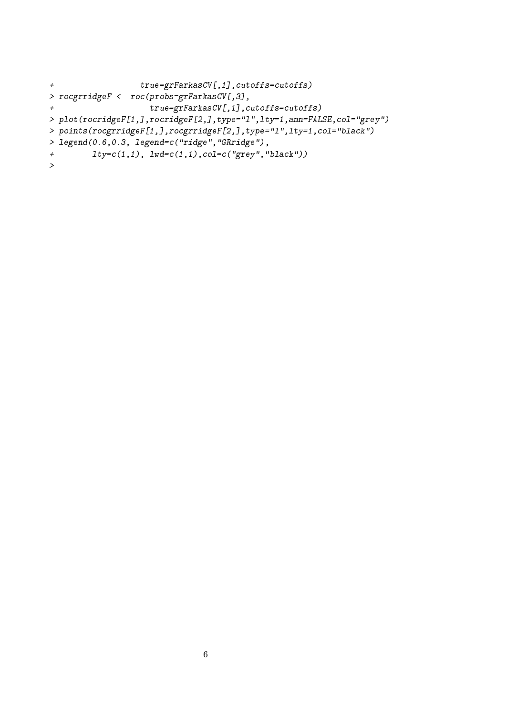```
+ true=grFarkasCV[,1],cutoffs=cutoffs)
> rocgrridgeF <- roc(probs=grFarkasCV[,3],
+ true=grFarkasCV[,1],cutoffs=cutoffs)
> plot(rocridgeF[1,],rocridgeF[2,],type="l",lty=1,ann=FALSE,col="grey")
> points(rocgrridgeF[1,],rocgrridgeF[2,],type="l",lty=1,col="black")
> legend(0.6,0.3, legend=c("ridge","GRridge"),
+ lty=c(1,1), lwd=c(1,1),col=c("grey","black"))
>
```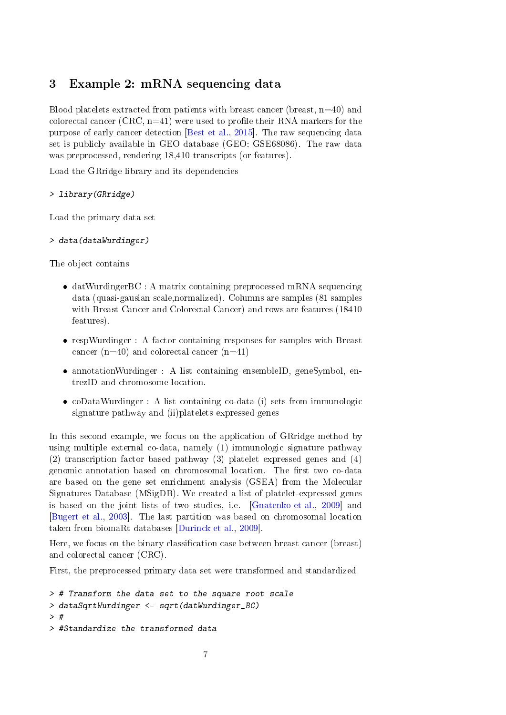# <span id="page-6-0"></span>3 Example 2: mRNA sequencing data

Blood platelets extracted from patients with breast cancer (breast,  $n=40$ ) and colorectal cancer (CRC,  $n=41$ ) were used to profile their RNA markers for the purpose of early cancer detection [\[Best et al.,](#page-11-4) [2015\]](#page-11-4). The raw sequencing data set is publicly available in GEO database (GEO: GSE68086). The raw data was preprocessed, rendering 18,410 transcripts (or features).

Load the GRridge library and its dependencies

> library(GRridge)

Load the primary data set

```
> data(dataWurdinger)
```
The object contains

- datWurdingerBC : A matrix containing preprocessed mRNA sequencing data (quasi-gausian scale,normalized). Columns are samples (81 samples with Breast Cancer and Colorectal Cancer) and rows are features (18410 features).
- respWurdinger : A factor containing responses for samples with Breast cancer (n=40) and colorectal cancer (n=41)
- annotationWurdinger : A list containing ensembleID, geneSymbol, entrezID and chromosome location.
- coDataWurdinger : A list containing co-data (i) sets from immunologic signature pathway and (ii)platelets expressed genes

In this second example, we focus on the application of GRridge method by using multiple external co-data, namely (1) immunologic signature pathway (2) transcription factor based pathway (3) platelet expressed genes and (4) genomic annotation based on chromosomal location. The first two co-data are based on the gene set enrichment analysis (GSEA) from the Molecular Signatures Database (MSigDB). We created a list of platelet-expressed genes is based on the joint lists of two studies, i.e. [\[Gnatenko et al.,](#page-11-5) [2009\]](#page-11-5) and [\[Bugert et al.,](#page-11-6) [2003\]](#page-11-6). The last partition was based on chromosomal location taken from biomaRt databases [\[Durinck et al.,](#page-11-7) [2009\]](#page-11-7).

Here, we focus on the binary classification case between breast cancer (breast) and colorectal cancer (CRC).

First, the preprocessed primary data set were transformed and standardized

```
> # Transform the data set to the square root scale
> dataSqrtWurdinger <- sqrt(datWurdinger_BC)
> #
> #Standardize the transformed data
```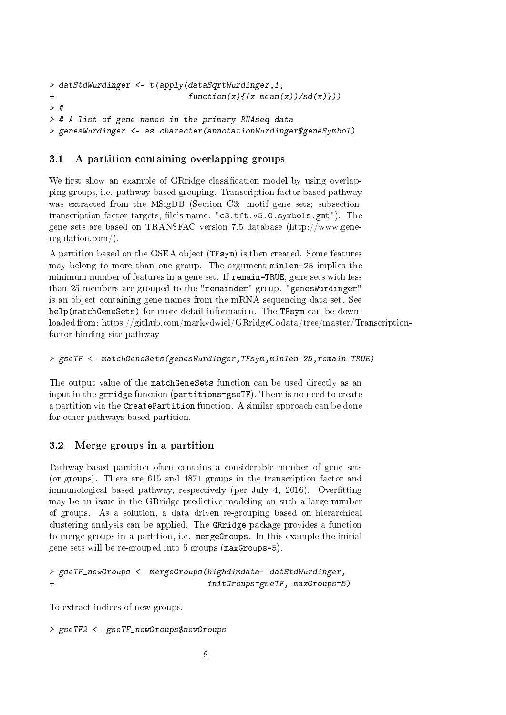```
> datStdWurdinger <- t(apply(dataSqrtWurdinger,1,
+ function(x)\{(x - mean(x))/sd(x)\})> #
> # A list of gene names in the primary RNAseq data
> genesWurdinger <- as.character(annotationWurdinger$geneSymbol)
```
# <span id="page-7-0"></span>3.1 A partition containing overlapping groups

We first show an example of GRridge classification model by using overlapping groups, i.e. pathway-based grouping. Transcription factor based pathway was extracted from the MSigDB (Section C3: motif gene sets; subsection: transcription factor targets; file's name: "c3.tft.v5.0.symbols.gmt"). The gene sets are based on TRANSFAC version 7.5 database (http://www.generegulation.com/).

A partition based on the GSEA object (TFsym) is then created. Some features may belong to more than one group. The argument minlen=25 implies the minimum number of features in a gene set. If remain=TRUE, gene sets with less than 25 members are grouped to the "remainder" group. "genesWurdinger" is an object containing gene names from the mRNA sequencing data set. See help(matchGeneSets) for more detail information. The TFsym can be downloaded from: https://github.com/markvdwiel/GRridgeCodata/tree/master/Transcriptionfactor-binding-site-pathway

```
> gseTF <- matchGeneSets(genesWurdinger,TFsym,minlen=25,remain=TRUE)
```
The output value of the matchGeneSets function can be used directly as an input in the grridge function (partitions=gseTF). There is no need to create a partition via the CreatePartition function. A similar approach can be done for other pathways based partition.

# <span id="page-7-1"></span>3.2 Merge groups in a partition

Pathway-based partition often contains a considerable number of gene sets (or groups). There are 615 and 4871 groups in the transcription factor and immunological based pathway, respectively (per July 4, 2016). Overfitting may be an issue in the GRridge predictive modeling on such a large number of groups. As a solution, a data driven re-grouping based on hierarchical clustering analysis can be applied. The GRridge package provides a function to merge groups in a partition, i.e. mergeGroups. In this example the initial gene sets will be re-grouped into 5 groups (maxGroups=5).

```
> gseTF_newGroups <- mergeGroups(highdimdata= datStdWurdinger,
+ initGroups=gseTF, maxGroups=5)
```
To extract indices of new groups,

```
> gseTF2 <- gseTF_newGroups$newGroups
```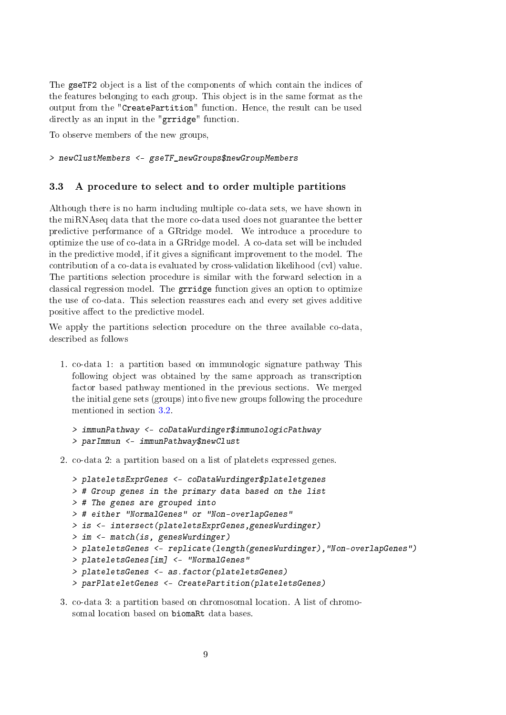The gseTF2 object is a list of the components of which contain the indices of the features belonging to each group. This object is in the same format as the output from the "CreatePartition" function. Hence, the result can be used directly as an input in the "grridge" function.

To observe members of the new groups,

> newClustMembers <- gseTF\_newGroups\$newGroupMembers

### <span id="page-8-0"></span>3.3 A procedure to select and to order multiple partitions

Although there is no harm including multiple co-data sets, we have shown in the miRNAseq data that the more co-data used does not guarantee the better predictive performance of a GRridge model. We introduce a procedure to optimize the use of co-data in a GRridge model. A co-data set will be included in the predictive model, if it gives a signicant improvement to the model. The contribution of a co-data is evaluated by cross-validation likelihood (cvl) value. The partitions selection procedure is similar with the forward selection in a classical regression model. The grridge function gives an option to optimize the use of co-data. This selection reassures each and every set gives additive positive affect to the predictive model.

We apply the partitions selection procedure on the three available co-data, described as follows

1. co-data 1: a partition based on immunologic signature pathway This following object was obtained by the same approach as transcription factor based pathway mentioned in the previous sections. We merged the initial gene sets (groups) into five new groups following the procedure mentioned in section [3.2.](#page-7-1)

```
> immunPathway <- coDataWurdinger$immunologicPathway
> parImmun <- immunPathway$newClust
```
2. co-data 2: a partition based on a list of platelets expressed genes.

```
> plateletsExprGenes <- coDataWurdinger$plateletgenes
> # Group genes in the primary data based on the list
> # The genes are grouped into
> # either "NormalGenes" or "Non-overlapGenes"
> is <- intersect(plateletsExprGenes,genesWurdinger)
> im <- match(is, genesWurdinger)
> plateletsGenes <- replicate(length(genesWurdinger),"Non-overlapGenes")
> plateletsGenes[im] <- "NormalGenes"
> plateletsGenes <- as.factor(plateletsGenes)
> parPlateletGenes <- CreatePartition(plateletsGenes)
```
3. co-data 3: a partition based on chromosomal location. A list of chromosomal location based on biomaRt data bases.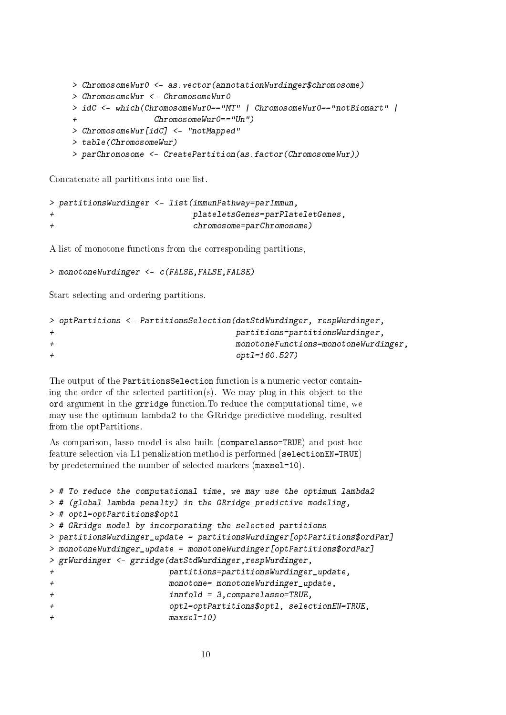```
> ChromosomeWur0 <- as.vector(annotationWurdinger$chromosome)
> ChromosomeWur <- ChromosomeWur0
> idC <- which(ChromosomeWur0=="MT" | ChromosomeWur0=="notBiomart" |
                 ChromosomeWur0=="Un")> ChromosomeWur[idC] <- "notMapped"
> table(ChromosomeWur)
> parChromosome <- CreatePartition(as.factor(ChromosomeWur))
```
Concatenate all partitions into one list.

```
> partitionsWurdinger <- list(immunPathway=parImmun,
+ plateletsGenes=parPlateletGenes,
+ chromosome=parChromosome)
```
A list of monotone functions from the corresponding partitions,

```
> monotoneWurdinger <- c(FALSE,FALSE,FALSE)
```
Start selecting and ordering partitions.

```
> optPartitions <- PartitionsSelection(datStdWurdinger, respWurdinger,
+ partitions=partitionsWurdinger,
+ monotoneFunctions=monotoneWurdinger,
+ optl=160.527)
```
The output of the PartitionsSelection function is a numeric vector containing the order of the selected partition(s). We may plug-in this object to the ord argument in the grridge function.To reduce the computational time, we may use the optimum lambda2 to the GRridge predictive modeling, resulted from the optPartitions.

As comparison, lasso model is also built (comparelasso=TRUE) and post-hoc feature selection via L1 penalization method is performed (selectionEN=TRUE) by predetermined the number of selected markers (maxsel=10).

```
> # To reduce the computational time, we may use the optimum lambda2
> # (global lambda penalty) in the GRridge predictive modeling,
> # optl=optPartitions$optl
> # GRridge model by incorporating the selected partitions
> partitionsWurdinger_update = partitionsWurdinger[optPartitions$ordPar]
> monotoneWurdinger_update = monotoneWurdinger[optPartitions$ordPar]
> grWurdinger <- grridge(datStdWurdinger,respWurdinger,
+ partitions=partitionsWurdinger_update,
+ monotone= monotoneWurdinger_update,
+ innfold = 3,comparelasso=TRUE,
+ optl=optPartitions$optl, selectionEN=TRUE,
+ maxsel=10)
```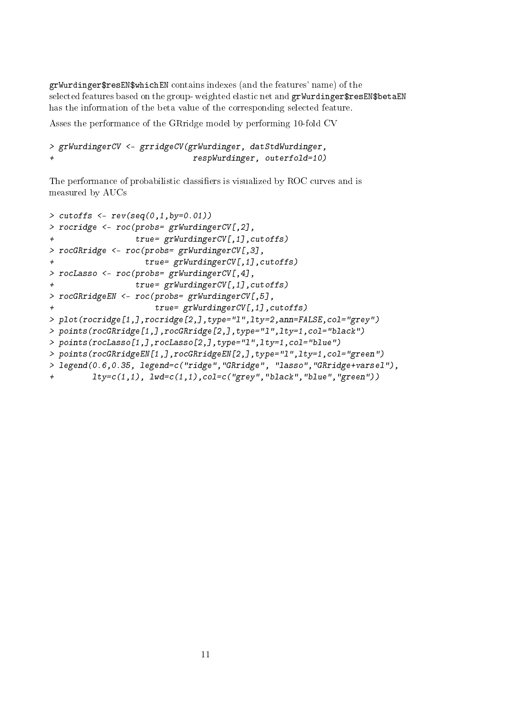grWurdinger\$resEN\$whichEN contains indexes (and the features' name) of the selected features based on the group-weighted elastic net and grWurdinger\$resEN\$betaEN has the information of the beta value of the corresponding selected feature.

Asses the performance of the GRridge model by performing 10-fold CV

```
> grWurdingerCV <- grridgeCV(grWurdinger, datStdWurdinger,
+ respWurdinger, outerfold=10)
```
The performance of probabilistic classifiers is visualized by ROC curves and is measured by AUCs

```
> cutoffs < -rev(seq(0, 1, by=0.01))> rocridge <- roc(probs= grWurdingerCV[,2],
+ true= grWurdingerCV[,1],cutoffs)
> rocGRridge <- roc(probs= grWurdingerCV[,3],
                  true= grWurdingerCV[,1],cutoffs)
> rocLasso <- roc(probs= grWurdingerCV[,4],
+ true= grWurdingerCV[,1],cutoffs)
> rocGRridgeEN <- roc(probs= grWurdingerCV[,5],
+ true= grWurdingerCV[,1],cutoffs)
> plot(rocridge[1,],rocridge[2,],type="l",lty=2,ann=FALSE,col="grey")
> points(rocGRridge[1,],rocGRridge[2,],type="l",lty=1,col="black")
> points(rocLasso[1,],rocLasso[2,],type="l",lty=1,col="blue")
> points(rocGRridgeEN[1,],rocGRridgeEN[2,],type="l",lty=1,col="green")
> legend(0.6,0.35, legend=c("ridge","GRridge", "lasso","GRridge+varsel"),
+ lty=c(1,1), lwd=c(1,1),col=c("grey","black","blue","green"))
```